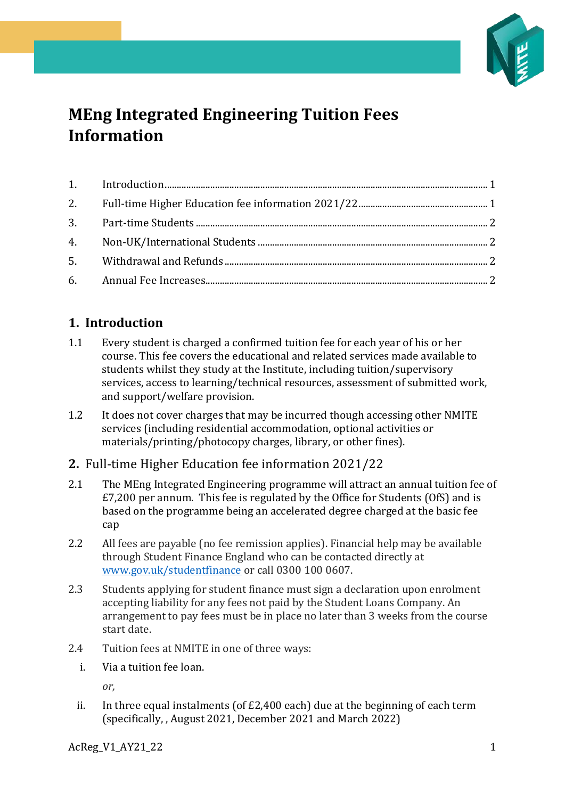

# **MEng Integrated Engineering Tuition Fees Information**

# <span id="page-0-0"></span>**1. Introduction**

- 1.1 Every student is charged a confirmed tuition fee for each year of his or her course. This fee covers the educational and related services made available to students whilst they study at the Institute, including tuition/supervisory services, access to learning/technical resources, assessment of submitted work, and support/welfare provision.
- 1.2 It does not cover charges that may be incurred though accessing other NMITE services (including residential accommodation, optional activities or materials/printing/photocopy charges, library, or other fines).

#### <span id="page-0-1"></span>**2.** Full-time Higher Education fee information 2021/22

- 2.1 The MEng Integrated Engineering programme will attract an annual tuition fee of £7,200 per annum. This fee is regulated by the Office for Students (OfS) and is based on the programme being an accelerated degree charged at the basic fee cap
- 2.2 All fees are payable (no fee remission applies). Financial help may be available through Student Finance England who can be contacted directly at [www.gov.uk/studentfinance](http://www.gov.uk/studentfinance) or call 0300 100 0607.
- 2.3 Students applying for student finance must sign a declaration upon enrolment accepting liability for any fees not paid by the Student Loans Company. An arrangement to pay fees must be in place no later than 3 weeks from the course start date.
- 2.4 Tuition fees at NMITE in one of three ways:
	- i. Via a tuition fee loan.

*or,*

ii. In three equal instalments (of £2,400 each) due at the beginning of each term (specifically, , August 2021, December 2021 and March 2022)

AcReg V1 AY21 22 1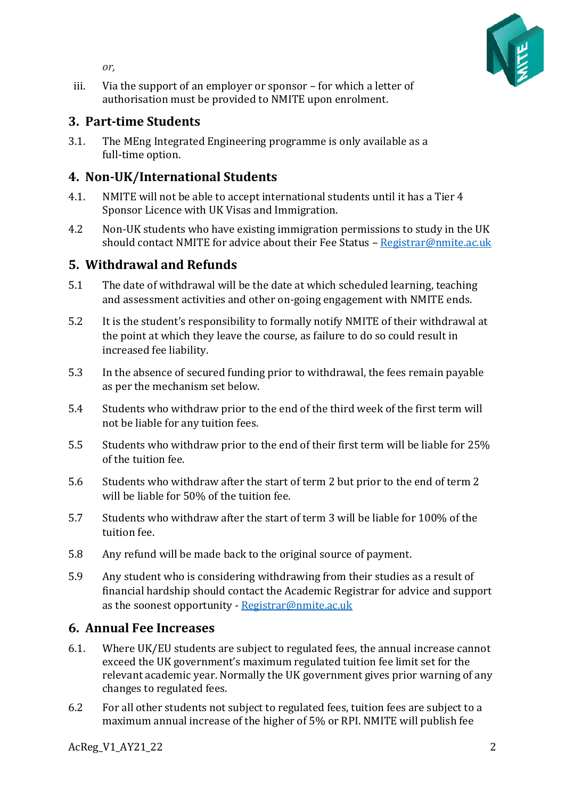

*or,*

iii. Via the support of an employer or sponsor – for which a letter of authorisation must be provided to NMITE upon enrolment.

#### <span id="page-1-0"></span>**3. Part-time Students**

3.1. The MEng Integrated Engineering programme is only available as a full-time option.

## <span id="page-1-1"></span>**4. Non-UK/International Students**

- 4.1. NMITE will not be able to accept international students until it has a Tier 4 Sponsor Licence with UK Visas and Immigration.
- 4.2 Non-UK students who have existing immigration permissions to study in the UK should contact NMITE for advice about their Fee Status - [Registrar@nmite.ac.uk](mailto:Registrar@nmite.ac.uk)

### <span id="page-1-2"></span>**5. Withdrawal and Refunds**

- 5.1 The date of withdrawal will be the date at which scheduled learning, teaching and assessment activities and other on-going engagement with NMITE ends.
- 5.2 It is the student's responsibility to formally notify NMITE of their withdrawal at the point at which they leave the course, as failure to do so could result in increased fee liability.
- 5.3 In the absence of secured funding prior to withdrawal, the fees remain payable as per the mechanism set below.
- 5.4 Students who withdraw prior to the end of the third week of the first term will not be liable for any tuition fees.
- 5.5 Students who withdraw prior to the end of their first term will be liable for 25% of the tuition fee.
- 5.6 Students who withdraw after the start of term 2 but prior to the end of term 2 will be liable for 50% of the tuition fee.
- 5.7 Students who withdraw after the start of term 3 will be liable for 100% of the tuition fee.
- 5.8 Any refund will be made back to the original source of payment.
- 5.9 Any student who is considering withdrawing from their studies as a result of financial hardship should contact the Academic Registrar for advice and support as the soonest opportunity - [Registrar@nmite.ac.uk](mailto:Registrar@nmite.ac.uk)

#### <span id="page-1-3"></span>**6. Annual Fee Increases**

- 6.1. Where UK/EU students are subject to regulated fees, the annual increase cannot exceed the UK government's maximum regulated tuition fee limit set for the relevant academic year. Normally the UK government gives prior warning of any changes to regulated fees.
- 6.2 For all other students not subject to regulated fees, tuition fees are subject to a maximum annual increase of the higher of 5% or RPI. NMITE will publish fee